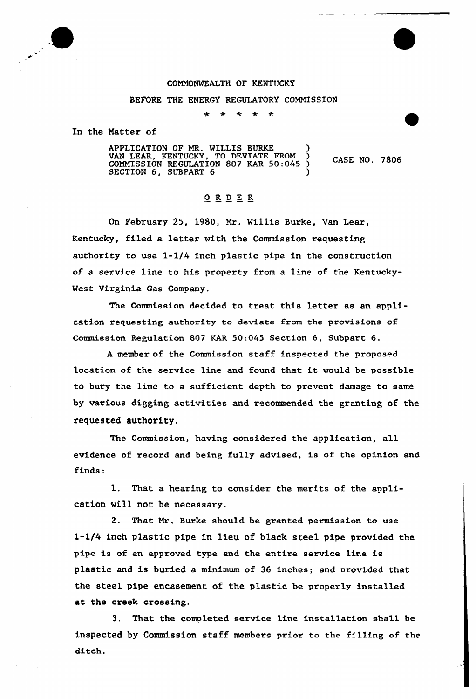

## COMMONWEALTH OF KENTUCKY

## BEFORE THE ENERGY REGULATORY COMMISSION

In the Matter of

APPLICATION OF MR. WILLIS BURKE WAN LEAR, KENTUCKY, TO DEVIATE FROM )<br>COMMISSION REGULATION 807 KAR 50:045 ) CASE NO. 780 SECTION 6, SUBPART 6

## $0$  R D E R

On February 25, 1980, Nr. Willis Burke, Van Lear, Kentucky, filed a letter with the Commission requesting authority to use 1-1/4 inch plastic pipe in the construction of a service line to his property from a line of the Kentucky-West Virginia Gas Company.

The Commission decided to treat this letter as an application requesting authority to deviate from the provisions of Commission Regulation 80? KAR 50:045 Section 6, Subpart 6.

<sup>A</sup> member of the Commission staff inspected the proposed location of the service line and found that it would be possible to bury the line to a sufficient depth to prevent damage to same by various digging activities and recommended the granting of the requested authority.

The Commission, having considered the application, all evidence of record and being fully advised, is of the opinion and finds:

1. That a hearing to consider the merits of the application will not be necessary.

2. That Nr. Burke should be granted permission to use l-l/4 inch plastic pipe in lieu of black steel pipe provided the pipe is of an approved type and the entire service line is plastic and is buried a minimum of 36 inches; and provided that the steel pipe encasement of the plastic be properly installed at the creek crossing.

3. That the completed service line installation shall be inspected by Commission staff members prior to the filling of the ditch.